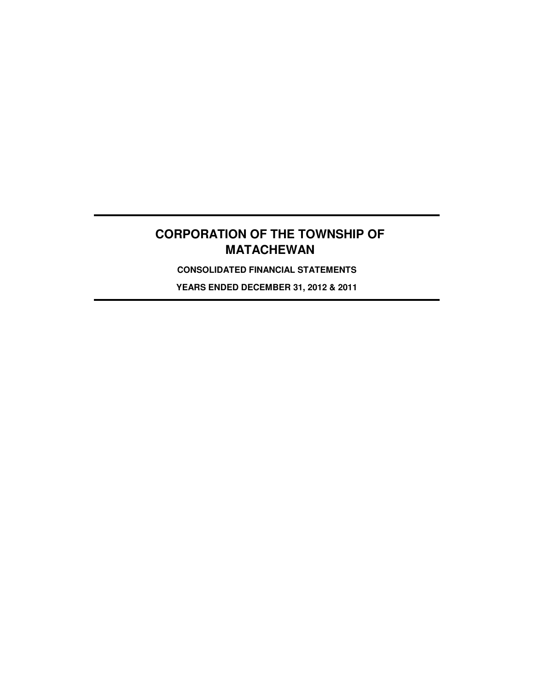**CONSOLIDATED FINANCIAL STATEMENTS**

**YEARS ENDED DECEMBER 31, 2012 & 2011**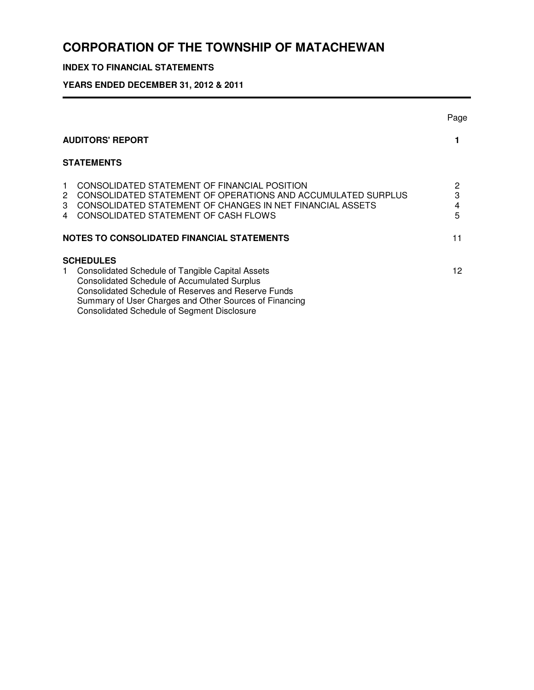# **INDEX TO FINANCIAL STATEMENTS**

**YEARS ENDED DECEMBER 31, 2012 & 2011**

|                            |                                                                                                                                                                                                                                                                                                                  | Page                   |  |  |  |  |  |  |
|----------------------------|------------------------------------------------------------------------------------------------------------------------------------------------------------------------------------------------------------------------------------------------------------------------------------------------------------------|------------------------|--|--|--|--|--|--|
|                            | <b>AUDITORS' REPORT</b>                                                                                                                                                                                                                                                                                          |                        |  |  |  |  |  |  |
|                            | <b>STATEMENTS</b>                                                                                                                                                                                                                                                                                                |                        |  |  |  |  |  |  |
| $\mathbf 1$<br>2<br>3<br>4 | CONSOLIDATED STATEMENT OF FINANCIAL POSITION<br>CONSOLIDATED STATEMENT OF OPERATIONS AND ACCUMULATED SURPLUS<br>CONSOLIDATED STATEMENT OF CHANGES IN NET FINANCIAL ASSETS<br>CONSOLIDATED STATEMENT OF CASH FLOWS<br>NOTES TO CONSOLIDATED FINANCIAL STATEMENTS                                                  | 2<br>3<br>4<br>5<br>11 |  |  |  |  |  |  |
| 1.                         | <b>SCHEDULES</b><br><b>Consolidated Schedule of Tangible Capital Assets</b><br><b>Consolidated Schedule of Accumulated Surplus</b><br><b>Consolidated Schedule of Reserves and Reserve Funds</b><br>Summary of User Charges and Other Sources of Financing<br><b>Consolidated Schedule of Segment Disclosure</b> | 12                     |  |  |  |  |  |  |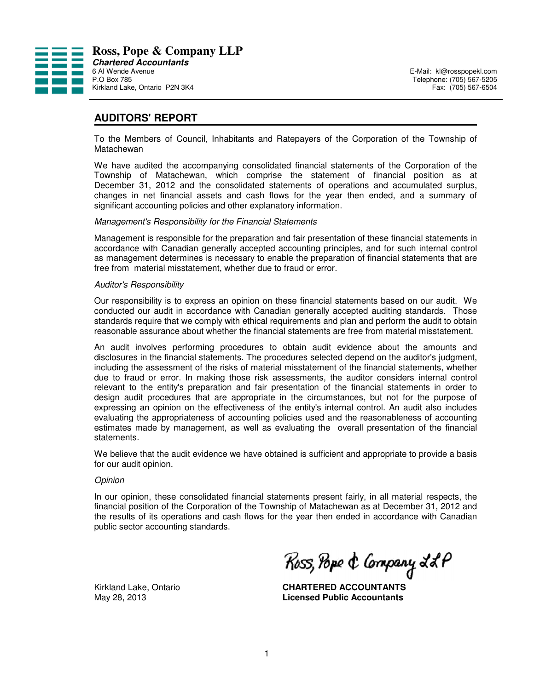

# **AUDITORS' REPORT**

To the Members of Council, Inhabitants and Ratepayers of the Corporation of the Township of Matachewan

We have audited the accompanying consolidated financial statements of the Corporation of the Township of Matachewan, which comprise the statement of financial position as at December 31, 2012 and the consolidated statements of operations and accumulated surplus, changes in net financial assets and cash flows for the year then ended, and a summary of significant accounting policies and other explanatory information.

#### Management's Responsibility for the Financial Statements

Management is responsible for the preparation and fair presentation of these financial statements in accordance with Canadian generally accepted accounting principles, and for such internal control as management determines is necessary to enable the preparation of financial statements that are free from material misstatement, whether due to fraud or error.

#### Auditor's Responsibility

Our responsibility is to express an opinion on these financial statements based on our audit. We conducted our audit in accordance with Canadian generally accepted auditing standards. Those standards require that we comply with ethical requirements and plan and perform the audit to obtain reasonable assurance about whether the financial statements are free from material misstatement.

An audit involves performing procedures to obtain audit evidence about the amounts and disclosures in the financial statements. The procedures selected depend on the auditor's judgment, including the assessment of the risks of material misstatement of the financial statements, whether due to fraud or error. In making those risk assessments, the auditor considers internal control relevant to the entity's preparation and fair presentation of the financial statements in order to design audit procedures that are appropriate in the circumstances, but not for the purpose of expressing an opinion on the effectiveness of the entity's internal control. An audit also includes evaluating the appropriateness of accounting policies used and the reasonableness of accounting estimates made by management, as well as evaluating the overall presentation of the financial statements.

We believe that the audit evidence we have obtained is sufficient and appropriate to provide a basis for our audit opinion.

#### **Opinion**

In our opinion, these consolidated financial statements present fairly, in all material respects, the financial position of the Corporation of the Township of Matachewan as at December 31, 2012 and the results of its operations and cash flows for the year then ended in accordance with Canadian public sector accounting standards.

Ross, Pope & Company LL P

Kirkland Lake, Ontario **CHARTERED ACCOUNTANTS** May 28, 2013 **Licensed Public Accountants**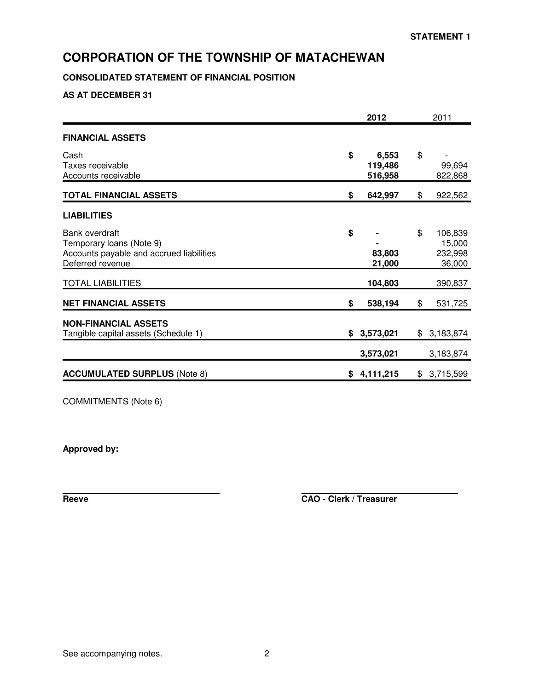# **CONSOLIDATED STATEMENT OF FINANCIAL POSITION**

**AS AT DECEMBER 31**

|                                                                                                            |    | 2012                        | 2011                                         |  |  |
|------------------------------------------------------------------------------------------------------------|----|-----------------------------|----------------------------------------------|--|--|
| <b>FINANCIAL ASSETS</b>                                                                                    |    |                             |                                              |  |  |
| Cash<br>Taxes receivable<br>Accounts receivable                                                            | \$ | 6,553<br>119,486<br>516,958 | \$<br>99,694<br>822,868                      |  |  |
| <b>TOTAL FINANCIAL ASSETS</b>                                                                              | \$ | 642,997                     | \$<br>922,562                                |  |  |
| <b>LIABILITIES</b>                                                                                         |    |                             |                                              |  |  |
| Bank overdraft<br>Temporary loans (Note 9)<br>Accounts payable and accrued liabilities<br>Deferred revenue | \$ | 83,803<br>21,000            | \$<br>106,839<br>15,000<br>232,998<br>36,000 |  |  |
| <b>TOTAL LIABILITIES</b>                                                                                   |    | 104,803                     | 390,837                                      |  |  |
| <b>NET FINANCIAL ASSETS</b>                                                                                | \$ | 538,194                     | \$<br>531,725                                |  |  |
| <b>NON-FINANCIAL ASSETS</b><br>Tangible capital assets (Schedule 1)                                        | \$ | 3,573,021                   | \$<br>3,183,874                              |  |  |
| <b>ACCUMULATED SURPLUS (Note 8)</b>                                                                        | S. | 3,573,021<br>4,111,215      | \$<br>3,183,874<br>3,715,599                 |  |  |
|                                                                                                            |    |                             |                                              |  |  |

COMMITMENTS (Note 6)

**Approved by:**

**Reeve CAO - Clerk / Treasurer**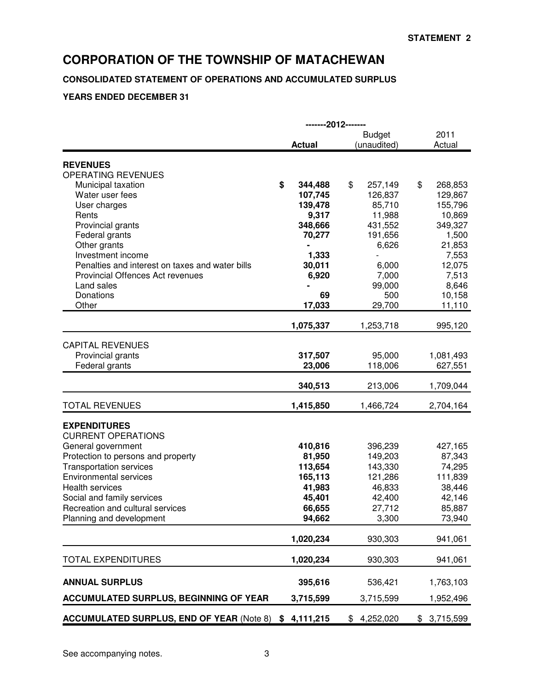## **CONSOLIDATED STATEMENT OF OPERATIONS AND ACCUMULATED SURPLUS**

## **YEARS ENDED DECEMBER 31**

|                                                  | -------2012------- |                              |                |  |  |  |  |  |  |  |
|--------------------------------------------------|--------------------|------------------------------|----------------|--|--|--|--|--|--|--|
|                                                  | <b>Actual</b>      | <b>Budget</b><br>(unaudited) | 2011<br>Actual |  |  |  |  |  |  |  |
|                                                  |                    |                              |                |  |  |  |  |  |  |  |
| <b>REVENUES</b>                                  |                    |                              |                |  |  |  |  |  |  |  |
| OPERATING REVENUES                               |                    |                              |                |  |  |  |  |  |  |  |
| Municipal taxation                               | \$<br>344,488      | \$<br>257,149                | \$<br>268,853  |  |  |  |  |  |  |  |
| Water user fees                                  | 107,745            | 126,837                      | 129,867        |  |  |  |  |  |  |  |
| User charges                                     | 139,478            | 85,710                       | 155,796        |  |  |  |  |  |  |  |
| Rents                                            | 9,317              | 11,988                       | 10,869         |  |  |  |  |  |  |  |
| Provincial grants                                | 348,666            | 431,552                      | 349,327        |  |  |  |  |  |  |  |
| Federal grants                                   | 70,277             | 191,656                      | 1,500          |  |  |  |  |  |  |  |
| Other grants                                     |                    | 6,626                        | 21,853         |  |  |  |  |  |  |  |
| Investment income                                | 1,333              |                              | 7,553          |  |  |  |  |  |  |  |
| Penalties and interest on taxes and water bills  | 30,011             | 6,000                        | 12,075         |  |  |  |  |  |  |  |
| Provincial Offences Act revenues                 | 6,920              | 7,000                        | 7,513          |  |  |  |  |  |  |  |
| Land sales                                       |                    | 99,000                       | 8,646          |  |  |  |  |  |  |  |
| Donations                                        | 69                 | 500                          | 10,158         |  |  |  |  |  |  |  |
| Other                                            | 17,033             | 29,700                       | 11,110         |  |  |  |  |  |  |  |
|                                                  | 1,075,337          | 1,253,718                    | 995,120        |  |  |  |  |  |  |  |
| <b>CAPITAL REVENUES</b>                          |                    |                              |                |  |  |  |  |  |  |  |
|                                                  | 317,507            | 95,000                       |                |  |  |  |  |  |  |  |
| Provincial grants                                |                    |                              | 1,081,493      |  |  |  |  |  |  |  |
| Federal grants                                   | 23,006             | 118,006                      | 627,551        |  |  |  |  |  |  |  |
|                                                  | 340,513            | 213,006                      | 1,709,044      |  |  |  |  |  |  |  |
| <b>TOTAL REVENUES</b>                            | 1,415,850          | 1,466,724                    | 2,704,164      |  |  |  |  |  |  |  |
| <b>EXPENDITURES</b>                              |                    |                              |                |  |  |  |  |  |  |  |
| <b>CURRENT OPERATIONS</b>                        |                    |                              |                |  |  |  |  |  |  |  |
|                                                  | 410,816            | 396,239                      | 427,165        |  |  |  |  |  |  |  |
| General government                               |                    |                              | 87,343         |  |  |  |  |  |  |  |
| Protection to persons and property               | 81,950             | 149,203                      |                |  |  |  |  |  |  |  |
| <b>Transportation services</b>                   | 113,654            | 143,330                      | 74,295         |  |  |  |  |  |  |  |
| <b>Environmental services</b>                    | 165,113            | 121,286                      | 111,839        |  |  |  |  |  |  |  |
| <b>Health services</b>                           | 41,983             | 46,833                       | 38,446         |  |  |  |  |  |  |  |
| Social and family services                       | 45,401             | 42,400                       | 42,146         |  |  |  |  |  |  |  |
| Recreation and cultural services                 | 66,655             | 27,712                       | 85,887         |  |  |  |  |  |  |  |
| Planning and development                         | 94,662             | 3,300                        | 73,940         |  |  |  |  |  |  |  |
|                                                  | 1,020,234          | 930,303                      | 941,061        |  |  |  |  |  |  |  |
| <b>TOTAL EXPENDITURES</b>                        | 1,020,234          | 930,303                      | 941,061        |  |  |  |  |  |  |  |
|                                                  |                    |                              |                |  |  |  |  |  |  |  |
| <b>ANNUAL SURPLUS</b>                            | 395,616            | 536,421                      | 1,763,103      |  |  |  |  |  |  |  |
| <b>ACCUMULATED SURPLUS, BEGINNING OF YEAR</b>    | 3,715,599          | 3,715,599                    | 1,952,496      |  |  |  |  |  |  |  |
| <b>ACCUMULATED SURPLUS, END OF YEAR (Note 8)</b> | \$4,111,215        | 4,252,020<br>\$              | \$3,715,599    |  |  |  |  |  |  |  |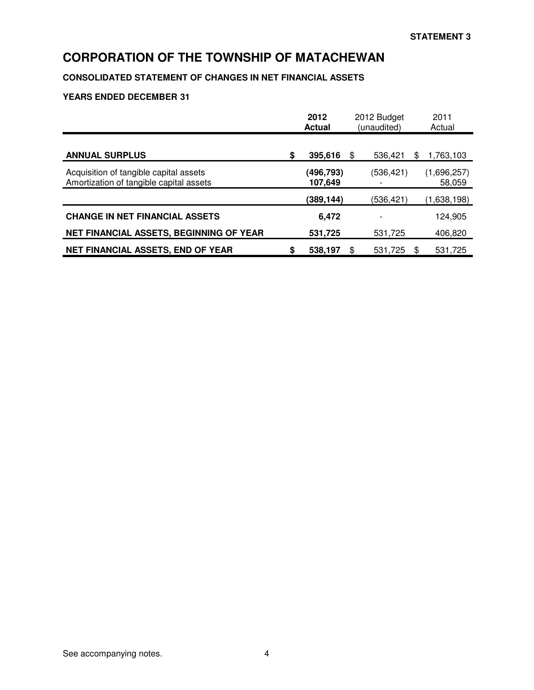# **CONSOLIDATED STATEMENT OF CHANGES IN NET FINANCIAL ASSETS**

## **YEARS ENDED DECEMBER 31**

|                                                                                   | 2012<br><b>Actual</b> | 2012 Budget<br>(unaudited) | 2011<br>Actual        |
|-----------------------------------------------------------------------------------|-----------------------|----------------------------|-----------------------|
| <b>ANNUAL SURPLUS</b>                                                             | \$<br>395,616         | 536.421<br>S               | \$<br>1,763,103       |
| Acquisition of tangible capital assets<br>Amortization of tangible capital assets | (496,793)<br>107,649  | (536, 421)                 | (1,696,257)<br>58,059 |
|                                                                                   | (389,144)             | (536,421)                  | (1,638,198)           |
| <b>CHANGE IN NET FINANCIAL ASSETS</b>                                             | 6,472                 |                            | 124.905               |
| NET FINANCIAL ASSETS, BEGINNING OF YEAR                                           | 531,725               | 531,725                    | 406,820               |
| <b>NET FINANCIAL ASSETS, END OF YEAR</b>                                          | \$<br>538,197         | 531,725<br>\$              | \$<br>531,725         |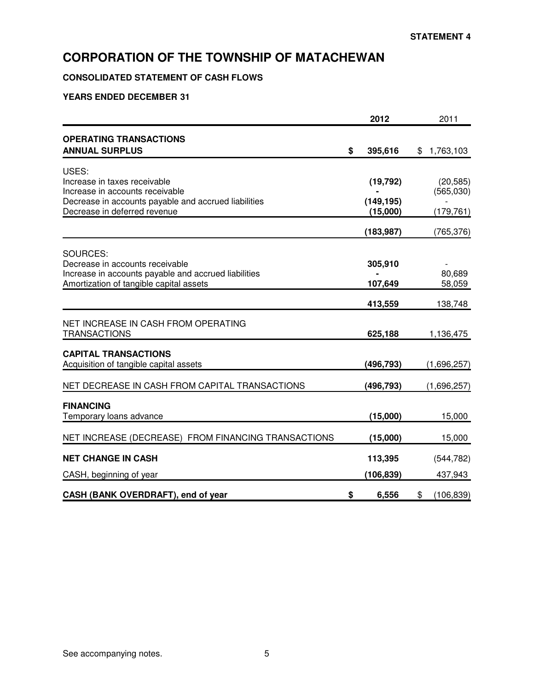# **CONSOLIDATED STATEMENT OF CASH FLOWS**

## **YEARS ENDED DECEMBER 31**

|                                                                                         | 2012          | 2011             |
|-----------------------------------------------------------------------------------------|---------------|------------------|
| <b>OPERATING TRANSACTIONS</b>                                                           |               |                  |
| <b>ANNUAL SURPLUS</b>                                                                   | \$<br>395,616 | \$1,763,103      |
| USES:                                                                                   |               |                  |
| Increase in taxes receivable                                                            | (19, 792)     | (20, 585)        |
| Increase in accounts receivable<br>Decrease in accounts payable and accrued liabilities | (149, 195)    | (565,030)        |
| Decrease in deferred revenue                                                            | (15,000)      | (179, 761)       |
|                                                                                         | (183, 987)    | (765, 376)       |
|                                                                                         |               |                  |
| SOURCES:<br>Decrease in accounts receivable                                             | 305,910       |                  |
| Increase in accounts payable and accrued liabilities                                    |               | 80,689           |
| Amortization of tangible capital assets                                                 | 107,649       | 58,059           |
|                                                                                         | 413,559       | 138,748          |
| NET INCREASE IN CASH FROM OPERATING                                                     |               |                  |
| <b>TRANSACTIONS</b>                                                                     | 625,188       | 1,136,475        |
| <b>CAPITAL TRANSACTIONS</b>                                                             |               |                  |
| Acquisition of tangible capital assets                                                  | (496,793)     | (1,696,257)      |
| NET DECREASE IN CASH FROM CAPITAL TRANSACTIONS                                          | (496, 793)    | (1,696,257)      |
|                                                                                         |               |                  |
| <b>FINANCING</b><br>Temporary loans advance                                             | (15,000)      | 15,000           |
|                                                                                         |               |                  |
| NET INCREASE (DECREASE) FROM FINANCING TRANSACTIONS                                     | (15,000)      | 15,000           |
| <b>NET CHANGE IN CASH</b>                                                               | 113,395       | (544, 782)       |
| CASH, beginning of year                                                                 | (106, 839)    | 437,943          |
| CASH (BANK OVERDRAFT), end of year                                                      | \$<br>6,556   | \$<br>(106, 839) |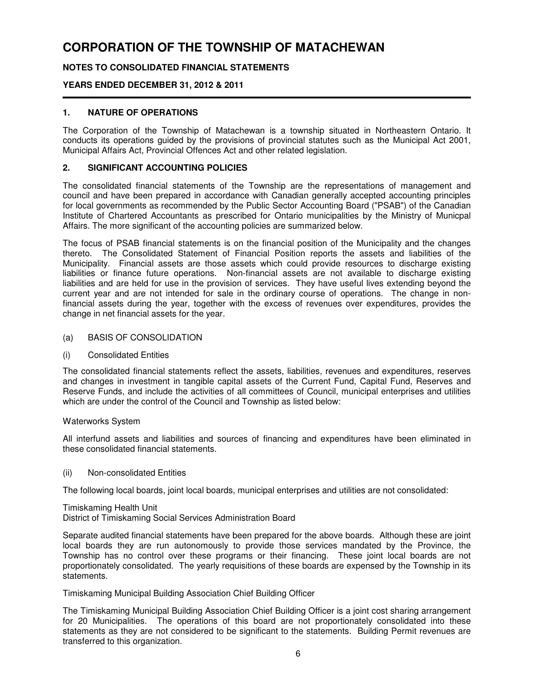## **NOTES TO CONSOLIDATED FINANCIAL STATEMENTS**

### **YEARS ENDED DECEMBER 31, 2012 & 2011**

### **1. NATURE OF OPERATIONS**

The Corporation of the Township of Matachewan is a township situated in Northeastern Ontario. It conducts its operations guided by the provisions of provincial statutes such as the Municipal Act 2001, Municipal Affairs Act, Provincial Offences Act and other related legislation.

#### **2. SIGNIFICANT ACCOUNTING POLICIES**

The consolidated financial statements of the Township are the representations of management and council and have been prepared in accordance with Canadian generally accepted accounting principles for local governments as recommended by the Public Sector Accounting Board ("PSAB") of the Canadian Institute of Chartered Accountants as prescribed for Ontario municipalities by the Ministry of Municpal Affairs. The more significant of the accounting policies are summarized below.

The focus of PSAB financial statements is on the financial position of the Municipality and the changes thereto. The Consolidated Statement of Financial Position reports the assets and liabilities of the Municipality. Financial assets are those assets which could provide resources to discharge existing liabilities or finance future operations. Non-financial assets are not available to discharge existing liabilities and are held for use in the provision of services. They have useful lives extending beyond the current year and are not intended for sale in the ordinary course of operations. The change in nonfinancial assets during the year, together with the excess of revenues over expenditures, provides the change in net financial assets for the year.

#### (a) BASIS OF CONSOLIDATION

(i) Consolidated Entities

The consolidated financial statements reflect the assets, liabilities, revenues and expenditures, reserves and changes in investment in tangible capital assets of the Current Fund, Capital Fund, Reserves and Reserve Funds, and include the activities of all committees of Council, municipal enterprises and utilities which are under the control of the Council and Township as listed below:

#### Waterworks System

All interfund assets and liabilities and sources of financing and expenditures have been eliminated in these consolidated financial statements.

#### (ii) Non-consolidated Entities

The following local boards, joint local boards, municipal enterprises and utilities are not consolidated:

Timiskaming Health Unit District of Timiskaming Social Services Administration Board

Separate audited financial statements have been prepared for the above boards. Although these are joint local boards they are run autonomously to provide those services mandated by the Province, the Township has no control over these programs or their financing. These joint local boards are not proportionately consolidated. The yearly requisitions of these boards are expensed by the Township in its statements.

Timiskaming Municipal Building Association Chief Building Officer

The Timiskaming Municipal Building Association Chief Building Officer is a joint cost sharing arrangement for 20 Municipalities. The operations of this board are not proportionately consolidated into these statements as they are not considered to be significant to the statements. Building Permit revenues are transferred to this organization.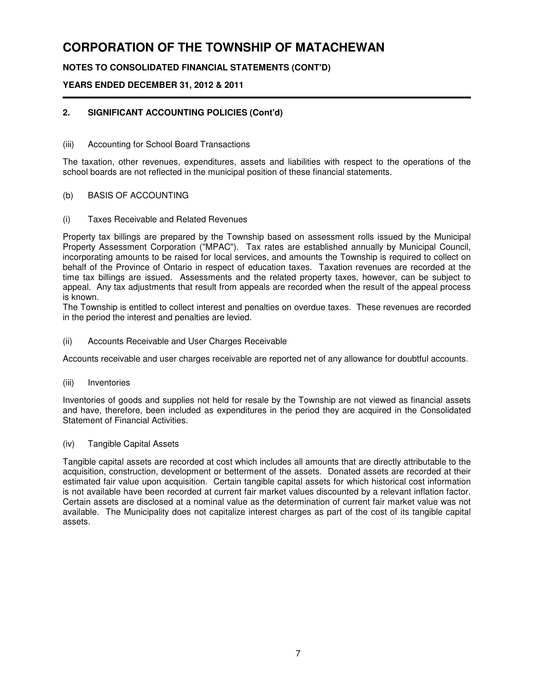## **NOTES TO CONSOLIDATED FINANCIAL STATEMENTS (CONT'D)**

## **YEARS ENDED DECEMBER 31, 2012 & 2011**

## **2. SIGNIFICANT ACCOUNTING POLICIES (Cont'd)**

### (iii) Accounting for School Board Transactions

The taxation, other revenues, expenditures, assets and liabilities with respect to the operations of the school boards are not reflected in the municipal position of these financial statements.

#### (b) BASIS OF ACCOUNTING

(i) Taxes Receivable and Related Revenues

Property tax billings are prepared by the Township based on assessment rolls issued by the Municipal Property Assessment Corporation ("MPAC"). Tax rates are established annually by Municipal Council, incorporating amounts to be raised for local services, and amounts the Township is required to collect on behalf of the Province of Ontario in respect of education taxes. Taxation revenues are recorded at the time tax billings are issued. Assessments and the related property taxes, however, can be subject to appeal. Any tax adjustments that result from appeals are recorded when the result of the appeal process is known.

The Township is entitled to collect interest and penalties on overdue taxes. These revenues are recorded in the period the interest and penalties are levied.

(ii) Accounts Receivable and User Charges Receivable

Accounts receivable and user charges receivable are reported net of any allowance for doubtful accounts.

(iii) Inventories

Inventories of goods and supplies not held for resale by the Township are not viewed as financial assets and have, therefore, been included as expenditures in the period they are acquired in the Consolidated Statement of Financial Activities.

(iv) Tangible Capital Assets

Tangible capital assets are recorded at cost which includes all amounts that are directly attributable to the acquisition, construction, development or betterment of the assets. Donated assets are recorded at their estimated fair value upon acquisition. Certain tangible capital assets for which historical cost information is not available have been recorded at current fair market values discounted by a relevant inflation factor. Certain assets are disclosed at a nominal value as the determination of current fair market value was not available. The Municipality does not capitalize interest charges as part of the cost of its tangible capital assets.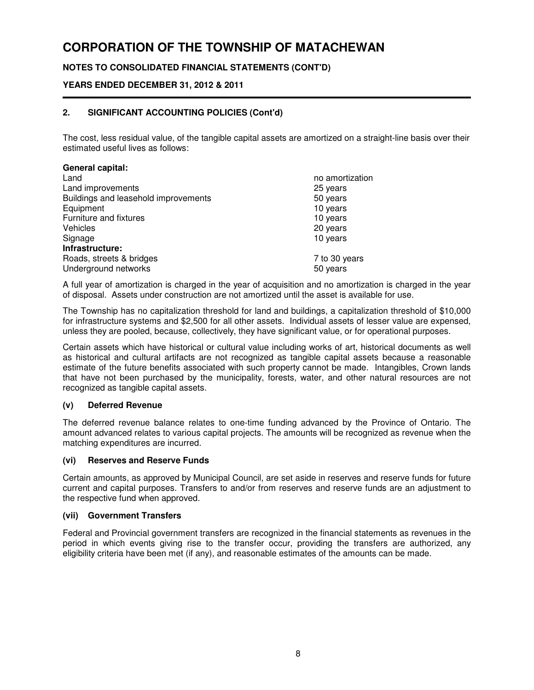## **NOTES TO CONSOLIDATED FINANCIAL STATEMENTS (CONT'D)**

### **YEARS ENDED DECEMBER 31, 2012 & 2011**

## **2. SIGNIFICANT ACCOUNTING POLICIES (Cont'd)**

The cost, less residual value, of the tangible capital assets are amortized on a straight-line basis over their estimated useful lives as follows:

| <b>General capital:</b>              |                 |
|--------------------------------------|-----------------|
| Land                                 | no amortization |
| Land improvements                    | 25 years        |
| Buildings and leasehold improvements | 50 years        |
| Equipment                            | 10 years        |
| Furniture and fixtures               | 10 years        |
| Vehicles                             | 20 years        |
| Signage                              | 10 years        |
| Infrastructure:                      |                 |
| Roads, streets & bridges             | 7 to 30 years   |
| Underground networks                 | 50 years        |

A full year of amortization is charged in the year of acquisition and no amortization is charged in the year of disposal. Assets under construction are not amortized until the asset is available for use.

The Township has no capitalization threshold for land and buildings, a capitalization threshold of \$10,000 for infrastructure systems and \$2,500 for all other assets. Individual assets of lesser value are expensed, unless they are pooled, because, collectively, they have significant value, or for operational purposes.

Certain assets which have historical or cultural value including works of art, historical documents as well as historical and cultural artifacts are not recognized as tangible capital assets because a reasonable estimate of the future benefits associated with such property cannot be made. Intangibles, Crown lands that have not been purchased by the municipality, forests, water, and other natural resources are not recognized as tangible capital assets.

### **(v) Deferred Revenue**

The deferred revenue balance relates to one-time funding advanced by the Province of Ontario. The amount advanced relates to various capital projects. The amounts will be recognized as revenue when the matching expenditures are incurred.

#### **(vi) Reserves and Reserve Funds**

Certain amounts, as approved by Municipal Council, are set aside in reserves and reserve funds for future current and capital purposes. Transfers to and/or from reserves and reserve funds are an adjustment to the respective fund when approved.

#### **(vii) Government Transfers**

Federal and Provincial government transfers are recognized in the financial statements as revenues in the period in which events giving rise to the transfer occur, providing the transfers are authorized, any eligibility criteria have been met (if any), and reasonable estimates of the amounts can be made.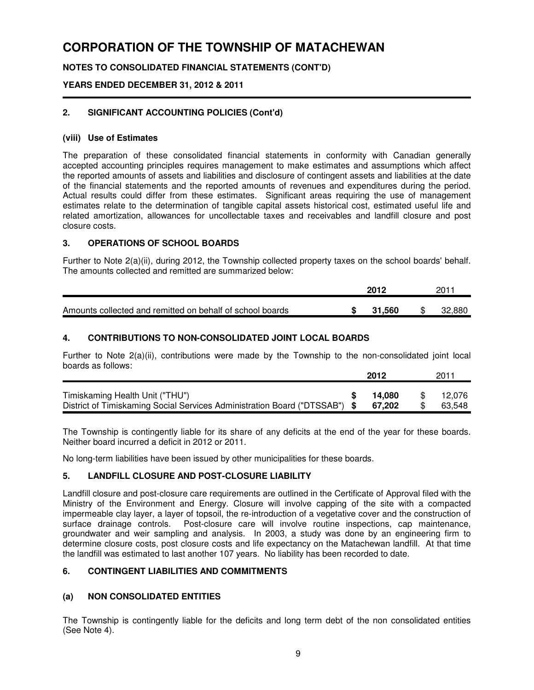## **NOTES TO CONSOLIDATED FINANCIAL STATEMENTS (CONT'D)**

### **YEARS ENDED DECEMBER 31, 2012 & 2011**

### **2. SIGNIFICANT ACCOUNTING POLICIES (Cont'd)**

#### **(viii) Use of Estimates**

The preparation of these consolidated financial statements in conformity with Canadian generally accepted accounting principles requires management to make estimates and assumptions which affect the reported amounts of assets and liabilities and disclosure of contingent assets and liabilities at the date of the financial statements and the reported amounts of revenues and expenditures during the period. Actual results could differ from these estimates. Significant areas requiring the use of management estimates relate to the determination of tangible capital assets historical cost, estimated useful life and related amortization, allowances for uncollectable taxes and receivables and landfill closure and post closure costs.

### **3. OPERATIONS OF SCHOOL BOARDS**

Further to Note 2(a)(ii), during 2012, the Township collected property taxes on the school boards' behalf. The amounts collected and remitted are summarized below:

|                                                           | 2012   | 2011   |
|-----------------------------------------------------------|--------|--------|
| Amounts collected and remitted on behalf of school boards | 31.560 | 32,880 |

### **4. CONTRIBUTIONS TO NON-CONSOLIDATED JOINT LOCAL BOARDS**

Further to Note 2(a)(ii), contributions were made by the Township to the non-consolidated joint local boards as follows:

|                                                                            |   | 2012   | 2011   |
|----------------------------------------------------------------------------|---|--------|--------|
|                                                                            |   |        |        |
| Timiskaming Health Unit ("THU")                                            | S | 14.080 | 12.076 |
| District of Timiskaming Social Services Administration Board ("DTSSAB") \$ |   | 67.202 | 63.548 |

The Township is contingently liable for its share of any deficits at the end of the year for these boards. Neither board incurred a deficit in 2012 or 2011.

No long-term liabilities have been issued by other municipalities for these boards.

### **5. LANDFILL CLOSURE AND POST-CLOSURE LIABILITY**

Landfill closure and post-closure care requirements are outlined in the Certificate of Approval filed with the Ministry of the Environment and Energy. Closure will involve capping of the site with a compacted impermeable clay layer, a layer of topsoil, the re-introduction of a vegetative cover and the construction of surface drainage controls. Post-closure care will involve routine inspections, cap maintenance, groundwater and weir sampling and analysis. In 2003, a study was done by an engineering firm to determine closure costs, post closure costs and life expectancy on the Matachewan landfill. At that time the landfill was estimated to last another 107 years. No liability has been recorded to date.

### **6. CONTINGENT LIABILITIES AND COMMITMENTS**

## **(a) NON CONSOLIDATED ENTITIES**

The Township is contingently liable for the deficits and long term debt of the non consolidated entities (See Note 4).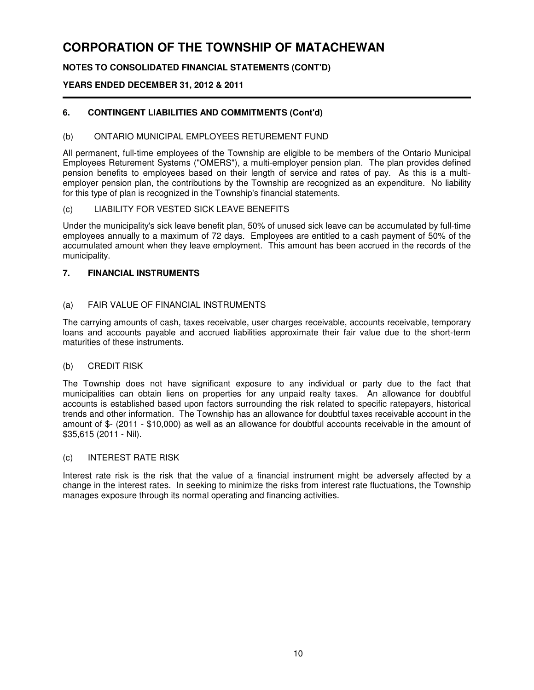## **NOTES TO CONSOLIDATED FINANCIAL STATEMENTS (CONT'D)**

## **YEARS ENDED DECEMBER 31, 2012 & 2011**

## **6. CONTINGENT LIABILITIES AND COMMITMENTS (Cont'd)**

### (b) ONTARIO MUNICIPAL EMPLOYEES RETUREMENT FUND

All permanent, full-time employees of the Township are eligible to be members of the Ontario Municipal Employees Returement Systems ("OMERS"), a multi-employer pension plan. The plan provides defined pension benefits to employees based on their length of service and rates of pay. As this is a multiemployer pension plan, the contributions by the Township are recognized as an expenditure. No liability for this type of plan is recognized in the Township's financial statements.

#### (c) LIABILITY FOR VESTED SICK LEAVE BENEFITS

Under the municipality's sick leave benefit plan, 50% of unused sick leave can be accumulated by full-time employees annually to a maximum of 72 days. Employees are entitled to a cash payment of 50% of the accumulated amount when they leave employment. This amount has been accrued in the records of the municipality.

### **7. FINANCIAL INSTRUMENTS**

#### (a) FAIR VALUE OF FINANCIAL INSTRUMENTS

The carrying amounts of cash, taxes receivable, user charges receivable, accounts receivable, temporary loans and accounts payable and accrued liabilities approximate their fair value due to the short-term maturities of these instruments.

#### (b) CREDIT RISK

The Township does not have significant exposure to any individual or party due to the fact that municipalities can obtain liens on properties for any unpaid realty taxes. An allowance for doubtful accounts is established based upon factors surrounding the risk related to specific ratepayers, historical trends and other information. The Township has an allowance for doubtful taxes receivable account in the amount of \$- (2011 - \$10,000) as well as an allowance for doubtful accounts receivable in the amount of \$35,615 (2011 - Nil).

#### (c) INTEREST RATE RISK

Interest rate risk is the risk that the value of a financial instrument might be adversely affected by a change in the interest rates. In seeking to minimize the risks from interest rate fluctuations, the Township manages exposure through its normal operating and financing activities.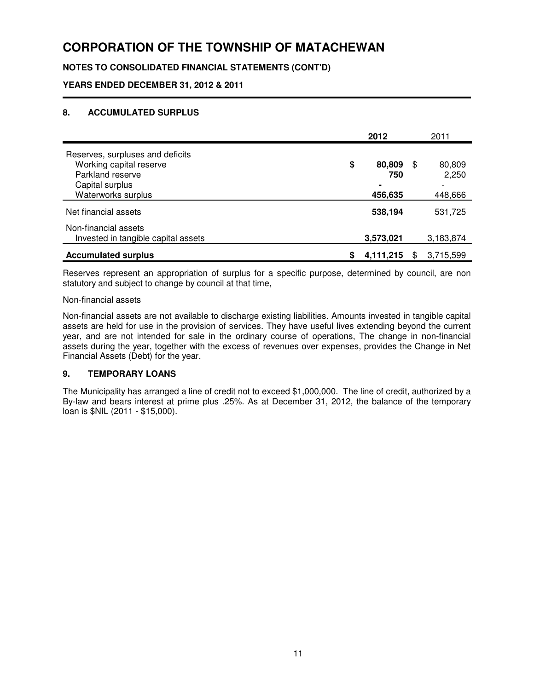## **NOTES TO CONSOLIDATED FINANCIAL STATEMENTS (CONT'D)**

**YEARS ENDED DECEMBER 31, 2012 & 2011**

## **8. ACCUMULATED SURPLUS**

|                                                                                                                          | 2012                           |     | 2011                       |
|--------------------------------------------------------------------------------------------------------------------------|--------------------------------|-----|----------------------------|
| Reserves, surpluses and deficits<br>Working capital reserve<br>Parkland reserve<br>Capital surplus<br>Waterworks surplus | \$<br>80,809<br>750<br>456,635 | \$. | 80,809<br>2,250<br>448,666 |
| Net financial assets                                                                                                     | 538,194                        |     | 531,725                    |
| Non-financial assets<br>Invested in tangible capital assets                                                              | 3,573,021                      |     | 3,183,874                  |
| <b>Accumulated surplus</b>                                                                                               | 4,111,215                      |     | 3,715,599                  |

Reserves represent an appropriation of surplus for a specific purpose, determined by council, are non statutory and subject to change by council at that time,

Non-financial assets

Non-financial assets are not available to discharge existing liabilities. Amounts invested in tangible capital assets are held for use in the provision of services. They have useful lives extending beyond the current year, and are not intended for sale in the ordinary course of operations, The change in non-financial assets during the year, together with the excess of revenues over expenses, provides the Change in Net Financial Assets (Debt) for the year.

### **9. TEMPORARY LOANS**

The Municipality has arranged a line of credit not to exceed \$1,000,000. The line of credit, authorized by a By-law and bears interest at prime plus .25%. As at December 31, 2012, the balance of the temporary loan is \$NIL (2011 - \$15,000).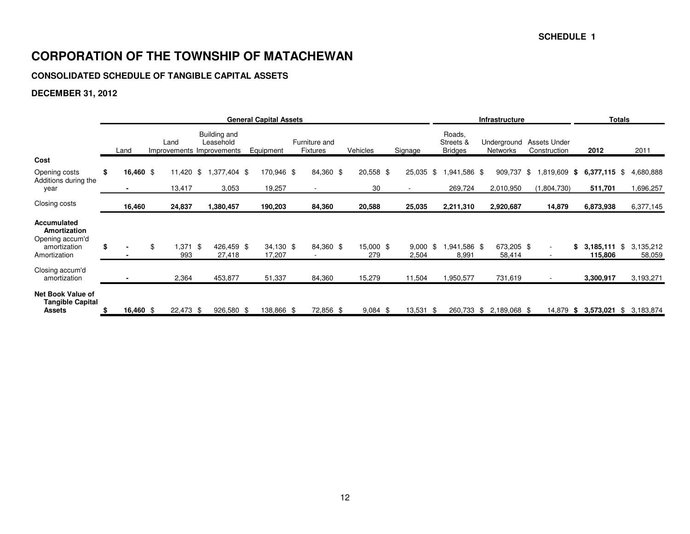## **CONSOLIDATED SCHEDULE OF TANGIBLE CAPITAL ASSETS**

# **DECEMBER 31, 2012**

|                                                                                       | <b>General Capital Assets</b> |      |                  |  |                                                        |                     |  |                                  |  |                  |  |                     |  |                                       | <b>Infrastructure</b>          |                                     | <b>Totals</b> |                           |      |                     |
|---------------------------------------------------------------------------------------|-------------------------------|------|------------------|--|--------------------------------------------------------|---------------------|--|----------------------------------|--|------------------|--|---------------------|--|---------------------------------------|--------------------------------|-------------------------------------|---------------|---------------------------|------|---------------------|
|                                                                                       | Land                          | Land |                  |  | Building and<br>Leasehold<br>Improvements Improvements | Equipment           |  | Furniture and<br><b>Fixtures</b> |  | Vehicles         |  | Signage             |  | Roads,<br>Streets &<br><b>Bridges</b> | Underground<br><b>Networks</b> | <b>Assets Under</b><br>Construction |               | 2012                      |      | 2011                |
| Cost                                                                                  |                               |      |                  |  |                                                        |                     |  |                                  |  |                  |  |                     |  |                                       |                                |                                     |               |                           |      |                     |
| Opening costs<br>Additions during the                                                 | \$<br>16,460 \$               |      | 11,420 \$        |  | \$4.377,404                                            | 170,946 \$          |  | 84,360 \$                        |  | $20,558$ \$      |  | 25,035 \$           |  | 1,941,586 \$                          | 909,737                        | \$<br>1,819,609 \$                  |               | $6,377,115$ \$            |      | 4,680,888           |
| year                                                                                  |                               |      | 13,417           |  | 3,053                                                  | 19,257              |  |                                  |  | 30               |  |                     |  | 269,724                               | 2,010,950                      | (1,804,730)                         |               | 511,701                   |      | 1,696,257           |
| Closing costs                                                                         | 16,460                        |      | 24,837           |  | 1,380,457                                              | 190,203             |  | 84,360                           |  | 20,588           |  | 25,035              |  | 2,211,310                             | 2,920,687                      | 14,879                              |               | 6,873,938                 |      | 6,377,145           |
| Accumulated<br><b>Amortization</b><br>Opening accum'd<br>amortization<br>Amortization | \$                            | \$   | $.371$ \$<br>993 |  | 426,459 \$<br>27,418                                   | 34,130 \$<br>17,207 |  | 84,360 \$                        |  | 15,000 \$<br>279 |  | $9,000$ \$<br>2,504 |  | 1,941,586 \$<br>8,991                 | 673,205 \$<br>58,414           |                                     | \$            | $3,185,111$ \$<br>115,806 |      | 3,135,212<br>58,059 |
| Closing accum'd<br>amortization                                                       |                               |      | 2,364            |  | 453,877                                                | 51,337              |  | 84,360                           |  | 15,279           |  | 11,504              |  | 1,950,577                             | 731,619                        |                                     |               | 3,300,917                 |      | 3,193,271           |
| <b>Net Book Value of</b><br><b>Tangible Capital</b><br><b>Assets</b>                  | 16,460 $$$                    |      | 22,473 \$        |  | 926,580 \$                                             | 38,866 \$           |  | 72,856 \$                        |  | 9,084<br>- \$    |  | 13,531<br>- \$      |  | 260,733                               | \$<br>2,189,068 \$             | 14,879                              | - \$          | 3,573,021                 | - \$ | 3,183,874           |